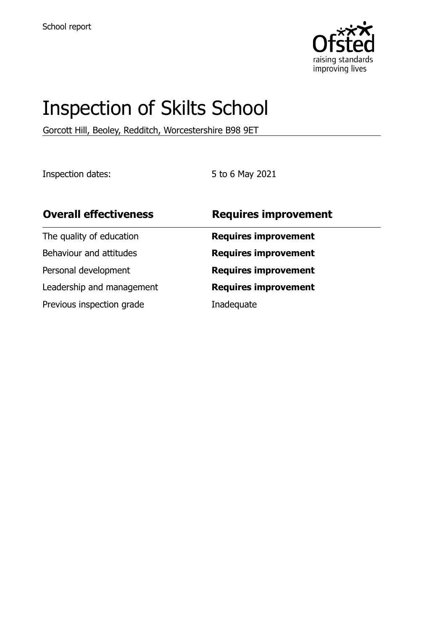

# Inspection of Skilts School

Gorcott Hill, Beoley, Redditch, Worcestershire B98 9ET

Inspection dates: 5 to 6 May 2021

| <b>Overall effectiveness</b> | <b>Requires improvement</b> |
|------------------------------|-----------------------------|
| The quality of education     | <b>Requires improvement</b> |
| Behaviour and attitudes      | <b>Requires improvement</b> |
| Personal development         | <b>Requires improvement</b> |
| Leadership and management    | <b>Requires improvement</b> |
| Previous inspection grade    | Inadequate                  |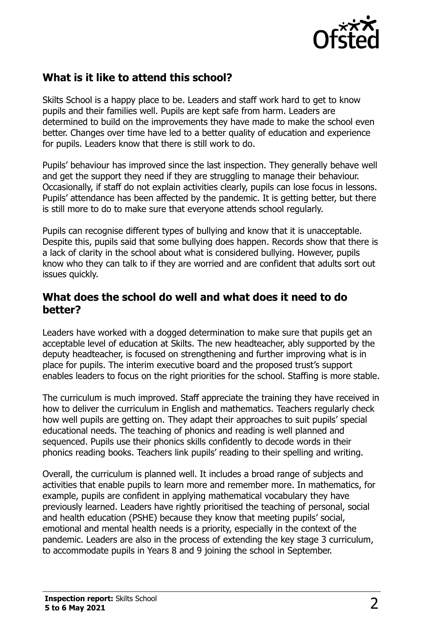

# **What is it like to attend this school?**

Skilts School is a happy place to be. Leaders and staff work hard to get to know pupils and their families well. Pupils are kept safe from harm. Leaders are determined to build on the improvements they have made to make the school even better. Changes over time have led to a better quality of education and experience for pupils. Leaders know that there is still work to do.

Pupils' behaviour has improved since the last inspection. They generally behave well and get the support they need if they are struggling to manage their behaviour. Occasionally, if staff do not explain activities clearly, pupils can lose focus in lessons. Pupils' attendance has been affected by the pandemic. It is getting better, but there is still more to do to make sure that everyone attends school regularly.

Pupils can recognise different types of bullying and know that it is unacceptable. Despite this, pupils said that some bullying does happen. Records show that there is a lack of clarity in the school about what is considered bullying. However, pupils know who they can talk to if they are worried and are confident that adults sort out issues quickly.

#### **What does the school do well and what does it need to do better?**

Leaders have worked with a dogged determination to make sure that pupils get an acceptable level of education at Skilts. The new headteacher, ably supported by the deputy headteacher, is focused on strengthening and further improving what is in place for pupils. The interim executive board and the proposed trust's support enables leaders to focus on the right priorities for the school. Staffing is more stable.

The curriculum is much improved. Staff appreciate the training they have received in how to deliver the curriculum in English and mathematics. Teachers regularly check how well pupils are getting on. They adapt their approaches to suit pupils' special educational needs. The teaching of phonics and reading is well planned and sequenced. Pupils use their phonics skills confidently to decode words in their phonics reading books. Teachers link pupils' reading to their spelling and writing.

Overall, the curriculum is planned well. It includes a broad range of subjects and activities that enable pupils to learn more and remember more. In mathematics, for example, pupils are confident in applying mathematical vocabulary they have previously learned. Leaders have rightly prioritised the teaching of personal, social and health education (PSHE) because they know that meeting pupils' social, emotional and mental health needs is a priority, especially in the context of the pandemic. Leaders are also in the process of extending the key stage 3 curriculum, to accommodate pupils in Years 8 and 9 joining the school in September.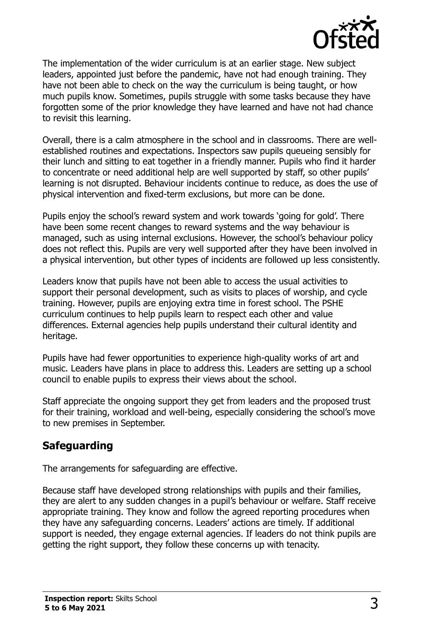

The implementation of the wider curriculum is at an earlier stage. New subject leaders, appointed just before the pandemic, have not had enough training. They have not been able to check on the way the curriculum is being taught, or how much pupils know. Sometimes, pupils struggle with some tasks because they have forgotten some of the prior knowledge they have learned and have not had chance to revisit this learning.

Overall, there is a calm atmosphere in the school and in classrooms. There are wellestablished routines and expectations. Inspectors saw pupils queueing sensibly for their lunch and sitting to eat together in a friendly manner. Pupils who find it harder to concentrate or need additional help are well supported by staff, so other pupils' learning is not disrupted. Behaviour incidents continue to reduce, as does the use of physical intervention and fixed-term exclusions, but more can be done.

Pupils enjoy the school's reward system and work towards 'going for gold'. There have been some recent changes to reward systems and the way behaviour is managed, such as using internal exclusions. However, the school's behaviour policy does not reflect this. Pupils are very well supported after they have been involved in a physical intervention, but other types of incidents are followed up less consistently.

Leaders know that pupils have not been able to access the usual activities to support their personal development, such as visits to places of worship, and cycle training. However, pupils are enjoying extra time in forest school. The PSHE curriculum continues to help pupils learn to respect each other and value differences. External agencies help pupils understand their cultural identity and heritage.

Pupils have had fewer opportunities to experience high-quality works of art and music. Leaders have plans in place to address this. Leaders are setting up a school council to enable pupils to express their views about the school.

Staff appreciate the ongoing support they get from leaders and the proposed trust for their training, workload and well-being, especially considering the school's move to new premises in September.

# **Safeguarding**

The arrangements for safeguarding are effective.

Because staff have developed strong relationships with pupils and their families, they are alert to any sudden changes in a pupil's behaviour or welfare. Staff receive appropriate training. They know and follow the agreed reporting procedures when they have any safeguarding concerns. Leaders' actions are timely. If additional support is needed, they engage external agencies. If leaders do not think pupils are getting the right support, they follow these concerns up with tenacity.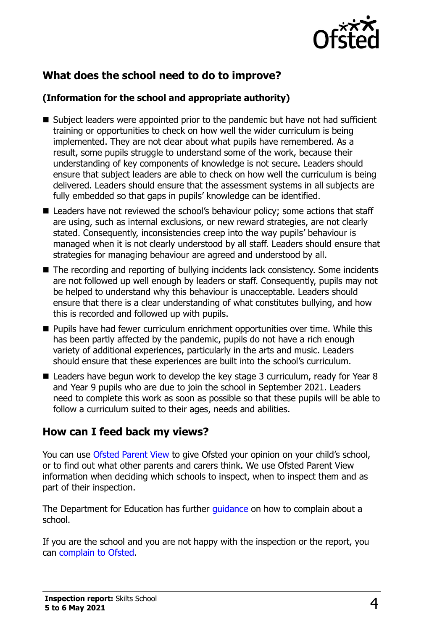

# **What does the school need to do to improve?**

#### **(Information for the school and appropriate authority)**

- Subject leaders were appointed prior to the pandemic but have not had sufficient training or opportunities to check on how well the wider curriculum is being implemented. They are not clear about what pupils have remembered. As a result, some pupils struggle to understand some of the work, because their understanding of key components of knowledge is not secure. Leaders should ensure that subject leaders are able to check on how well the curriculum is being delivered. Leaders should ensure that the assessment systems in all subjects are fully embedded so that gaps in pupils' knowledge can be identified.
- Leaders have not reviewed the school's behaviour policy; some actions that staff are using, such as internal exclusions, or new reward strategies, are not clearly stated. Consequently, inconsistencies creep into the way pupils' behaviour is managed when it is not clearly understood by all staff. Leaders should ensure that strategies for managing behaviour are agreed and understood by all.
- The recording and reporting of bullying incidents lack consistency. Some incidents are not followed up well enough by leaders or staff. Consequently, pupils may not be helped to understand why this behaviour is unacceptable. Leaders should ensure that there is a clear understanding of what constitutes bullying, and how this is recorded and followed up with pupils.
- **Pupils have had fewer curriculum enrichment opportunities over time. While this** has been partly affected by the pandemic, pupils do not have a rich enough variety of additional experiences, particularly in the arts and music. Leaders should ensure that these experiences are built into the school's curriculum.
- Leaders have begun work to develop the key stage 3 curriculum, ready for Year 8 and Year 9 pupils who are due to join the school in September 2021. Leaders need to complete this work as soon as possible so that these pupils will be able to follow a curriculum suited to their ages, needs and abilities.

### **How can I feed back my views?**

You can use [Ofsted Parent View](http://parentview.ofsted.gov.uk/) to give Ofsted your opinion on your child's school, or to find out what other parents and carers think. We use Ofsted Parent View information when deciding which schools to inspect, when to inspect them and as part of their inspection.

The Department for Education has further *guidance* on how to complain about a school.

If you are the school and you are not happy with the inspection or the report, you can [complain to Ofsted.](http://www.gov.uk/complain-ofsted-report)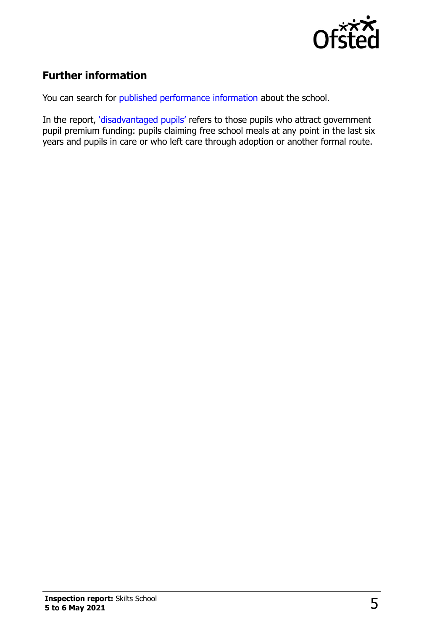

# **Further information**

You can search for [published performance information](http://www.compare-school-performance.service.gov.uk/) about the school.

In the report, '[disadvantaged pupils](http://www.gov.uk/guidance/pupil-premium-information-for-schools-and-alternative-provision-settings)' refers to those pupils who attract government pupil premium funding: pupils claiming free school meals at any point in the last six years and pupils in care or who left care through adoption or another formal route.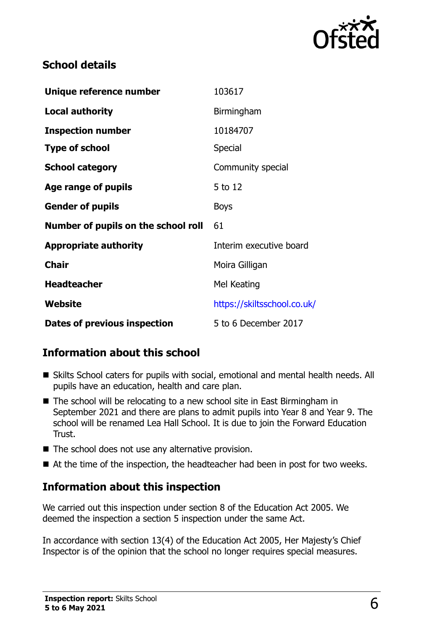

# **School details**

| Unique reference number             | 103617                      |
|-------------------------------------|-----------------------------|
| <b>Local authority</b>              | Birmingham                  |
| <b>Inspection number</b>            | 10184707                    |
| <b>Type of school</b>               | <b>Special</b>              |
| <b>School category</b>              | Community special           |
| Age range of pupils                 | 5 to 12                     |
| <b>Gender of pupils</b>             | <b>Boys</b>                 |
| Number of pupils on the school roll | 61                          |
| <b>Appropriate authority</b>        | Interim executive board     |
| <b>Chair</b>                        | Moira Gilligan              |
| <b>Headteacher</b>                  | Mel Keating                 |
| Website                             | https://skiltsschool.co.uk/ |
| <b>Dates of previous inspection</b> | 5 to 6 December 2017        |

# **Information about this school**

- Skilts School caters for pupils with social, emotional and mental health needs. All pupils have an education, health and care plan.
- The school will be relocating to a new school site in East Birmingham in September 2021 and there are plans to admit pupils into Year 8 and Year 9. The school will be renamed Lea Hall School. It is due to join the Forward Education Trust.
- The school does not use any alternative provision.
- At the time of the inspection, the headteacher had been in post for two weeks.

# **Information about this inspection**

We carried out this inspection under section 8 of the Education Act 2005. We deemed the inspection a section 5 inspection under the same Act.

In accordance with section 13(4) of the Education Act 2005, Her Majesty's Chief Inspector is of the opinion that the school no longer requires special measures.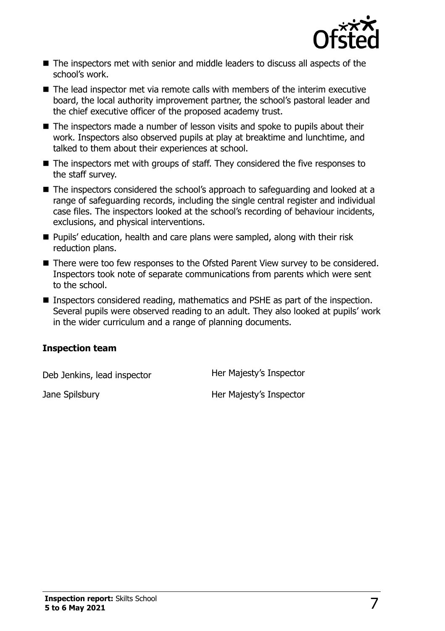

- The inspectors met with senior and middle leaders to discuss all aspects of the school's work.
- The lead inspector met via remote calls with members of the interim executive board, the local authority improvement partner, the school's pastoral leader and the chief executive officer of the proposed academy trust.
- The inspectors made a number of lesson visits and spoke to pupils about their work. Inspectors also observed pupils at play at breaktime and lunchtime, and talked to them about their experiences at school.
- The inspectors met with groups of staff. They considered the five responses to the staff survey.
- The inspectors considered the school's approach to safeguarding and looked at a range of safeguarding records, including the single central register and individual case files. The inspectors looked at the school's recording of behaviour incidents, exclusions, and physical interventions.
- **Pupils' education, health and care plans were sampled, along with their risk** reduction plans.
- There were too few responses to the Ofsted Parent View survey to be considered. Inspectors took note of separate communications from parents which were sent to the school.
- Inspectors considered reading, mathematics and PSHE as part of the inspection. Several pupils were observed reading to an adult. They also looked at pupils' work in the wider curriculum and a range of planning documents.

#### **Inspection team**

Deb Jenkins, lead inspector **Her Majesty's Inspector** 

Jane Spilsbury **Her Majesty's Inspector**